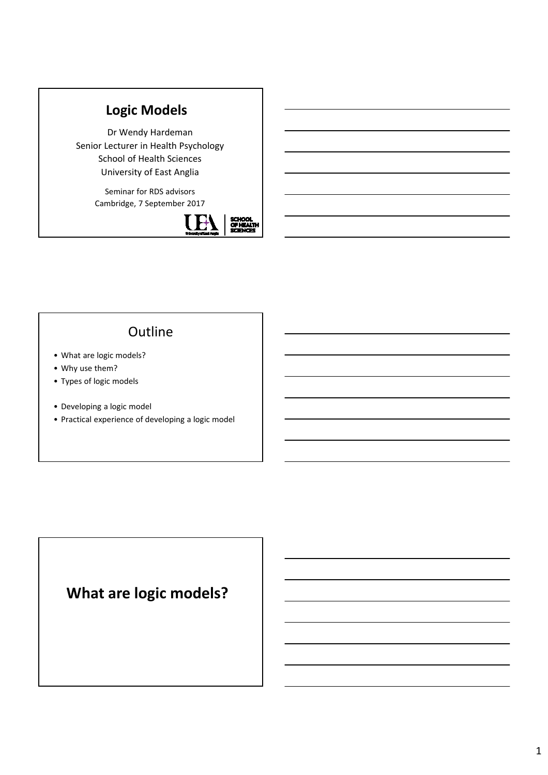# **Logic Models**

Dr Wendy Hardeman Senior Lecturer in Health Psychology School of Health Sciences University of East Anglia

> Seminar for RDS advisors Cambridge, 7 September 2017



## **Outline**

- What are logic models?
- Why use them?
- Types of logic models
- Developing a logic model
- Practical experience of developing a logic model

# **What are logic models?**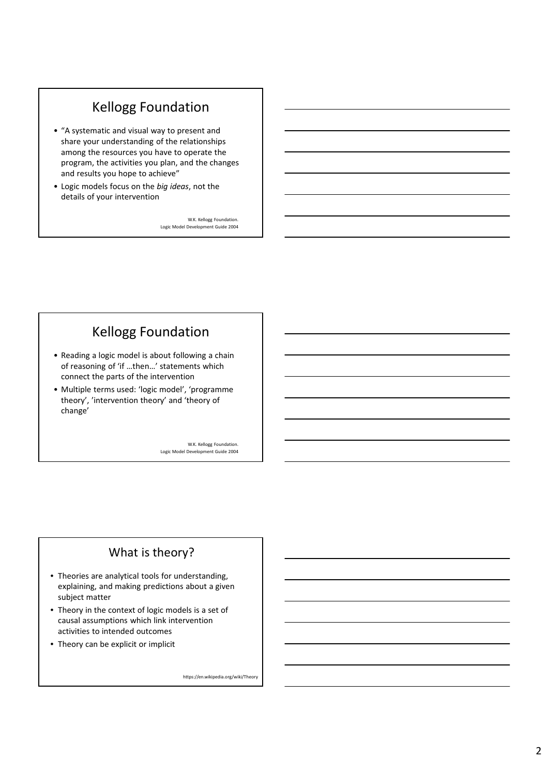## Kellogg Foundation

- "A systematic and visual way to present and share your understanding of the relationships among the resources you have to operate the program, the activities you plan, and the changes and results you hope to achieve"
- Logic models focus on the *big ideas*, not the details of your intervention

W.K. Kellogg Foundation. Logic Model Development Guide 2004

## Kellogg Foundation

- Reading a logic model is about following a chain of reasoning of 'if …then…' statements which connect the parts of the intervention
- Multiple terms used: 'logic model', 'programme theory', 'intervention theory' and 'theory of change'

W.K. Kellogg Foundation. Logic Model Development Guide 2004

## What is theory?

- Theories are analytical tools for understanding, explaining, and making predictions about a given subject matter
- Theory in the context of logic models is a set of causal assumptions which link intervention activities to intended outcomes
- Theory can be explicit or implicit

https://en.wikipedia.org/wiki/Theory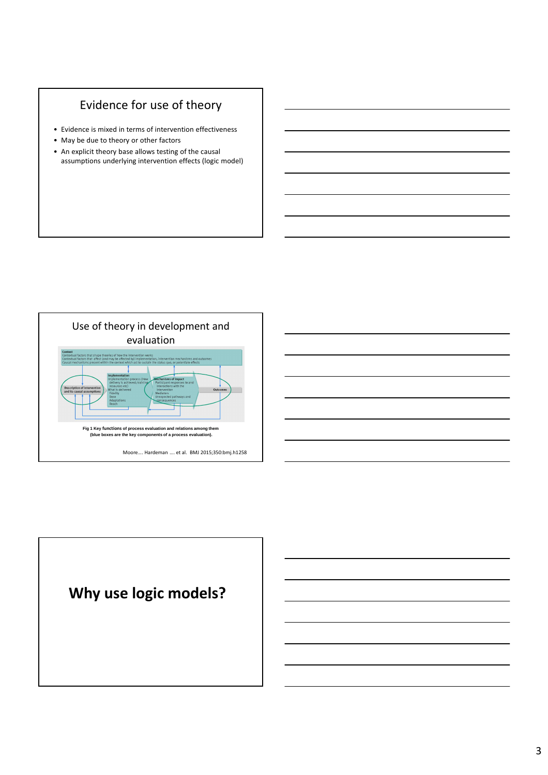## Evidence for use of theory

- Evidence is mixed in terms of intervention effectiveness
- May be due to theory or other factors
- An explicit theory base allows testing of the causal assumptions underlying intervention effects (logic model)



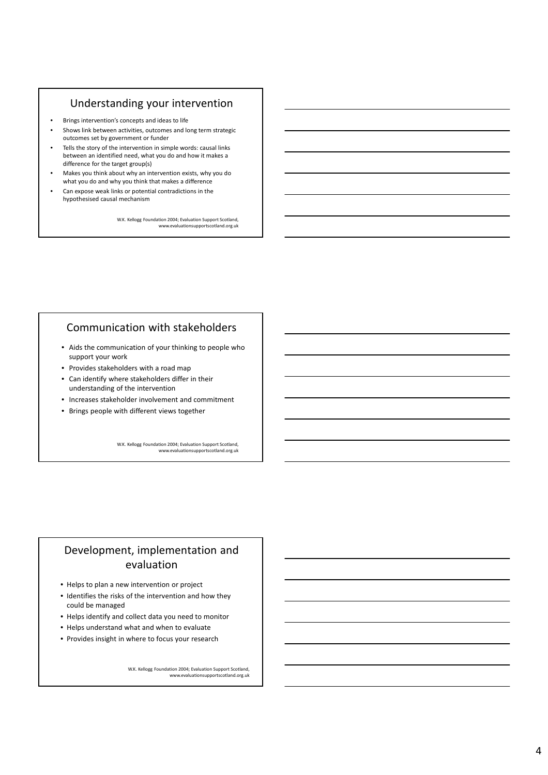## Understanding your intervention

- Brings intervention's concepts and ideas to life
- Shows link between activities, outcomes and long term strategic outcomes set by government or funder
- Tells the story of the intervention in simple words: causal links between an identified need, what you do and how it makes a difference for the target group(s)
- Makes you think about why an intervention exists, why you do what you do and why you think that makes a difference
- Can expose weak links or potential contradictions in the
- hypothesised causal mechanism

W.K. Kellogg Foundation 2004; Evaluation Support Scotland, www.evaluationsupportscotland.org.uk

## Communication with stakeholders

- Aids the communication of your thinking to people who support your work
- Provides stakeholders with a road map
- Can identify where stakeholders differ in their understanding of the intervention
- Increases stakeholder involvement and commitment
- Brings people with different views together

W.K. Kellogg Foundation 2004; Evaluation Support Scotland, www.evaluationsupportscotland.org.uk

## Development, implementation and evaluation

- Helps to plan a new intervention or project
- Identifies the risks of the intervention and how they could be managed
- Helps identify and collect data you need to monitor
- Helps understand what and when to evaluate
- Provides insight in where to focus your research

W.K. Kellogg Foundation 2004; Evaluation Support Scotland, www.evaluationsupportscotland.org.uk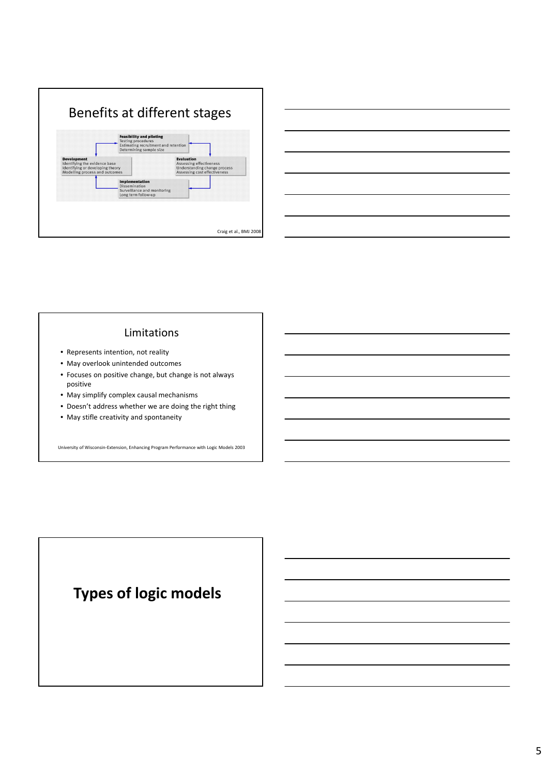



## Limitations

- Represents intention, not reality
- May overlook unintended outcomes
- Focuses on positive change, but change is not always positive
- May simplify complex causal mechanisms
- Doesn't address whether we are doing the right thing
- May stifle creativity and spontaneity

University of Wisconsin-Extension, Enhancing Program Performance with Logic Models 2003

# **Types of logic models**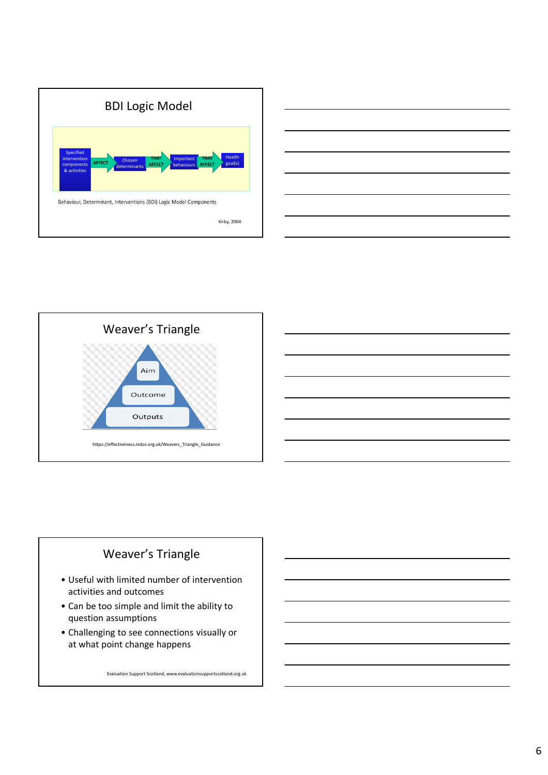







- Useful with limited number of intervention activities and outcomes
- Can be too simple and limit the ability to question assumptions
- Challenging to see connections visually or at what point change happens

Evaluation Support Scotland, www.evaluationsupportscotland.org.uk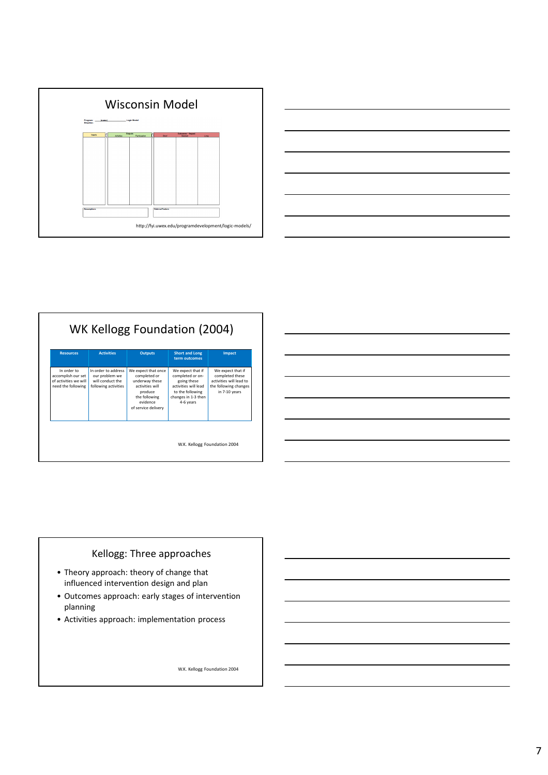

| <b>Resources</b>                                                                 | <b>Activities</b>                                                                  | <b>Outputs</b>                                                                                                                          | <b>Short and Long</b><br>term outcomes                                                                                               | Impact                                                                                                    |
|----------------------------------------------------------------------------------|------------------------------------------------------------------------------------|-----------------------------------------------------------------------------------------------------------------------------------------|--------------------------------------------------------------------------------------------------------------------------------------|-----------------------------------------------------------------------------------------------------------|
| In order to<br>accomplish our set<br>of activities we will<br>need the following | In order to address.<br>our problem we<br>will conduct the<br>following activities | We expect that once<br>completed or<br>underway these<br>activities will<br>produce<br>the following<br>evidence<br>of service delivery | We expect that if<br>completed or on-<br>going these<br>activities will lead<br>to the following<br>changes in 1-3 then<br>4-6 years | We expect that if<br>completed these<br>activities will lead to<br>the following changes<br>in 7-10 years |



## Kellogg: Three approaches

- Theory approach: theory of change that influenced intervention design and plan
- Outcomes approach: early stages of intervention planning
- Activities approach: implementation process

W.K. Kellogg Foundation 2004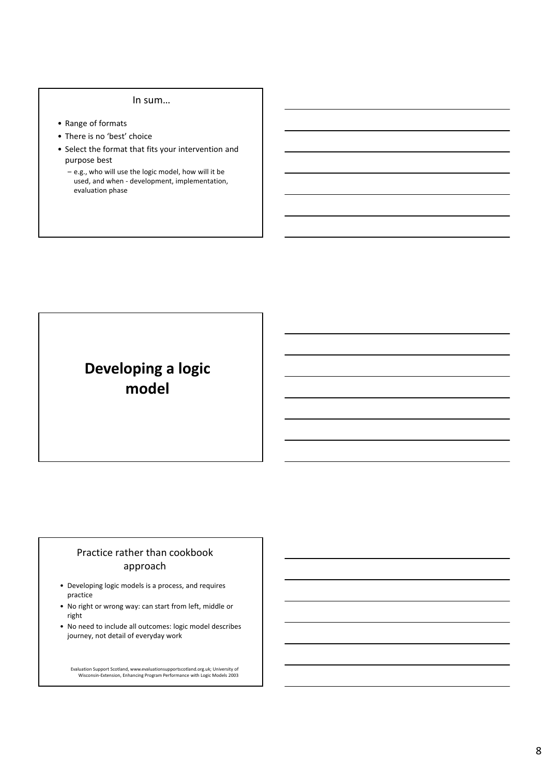#### In sum…

- Range of formats
- There is no 'best' choice
- Select the format that fits your intervention and purpose best
	- e.g., who will use the logic model, how will it be used, and when - development, implementation, evaluation phase

# **Developing a logic model**

## Practice rather than cookbook approach

- Developing logic models is a process, and requires practice
- No right or wrong way: can start from left, middle or right
- No need to include all outcomes: logic model describes journey, not detail of everyday work

Evaluation Support Scotland, www.evaluationsupportscotland.org.uk; University of Wisconsin-Extension, Enhancing Program Performance with Logic Models 2003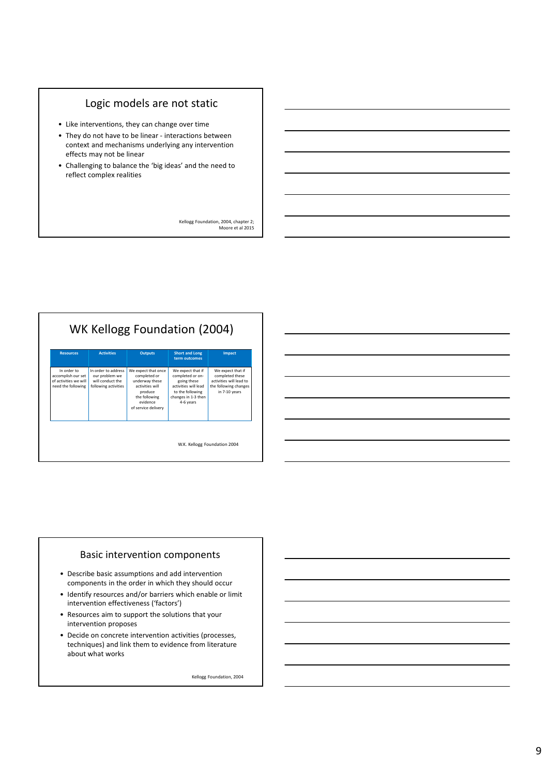## Logic models are not static

- Like interventions, they can change over time
- They do not have to be linear interactions between context and mechanisms underlying any intervention effects may not be linear
- Challenging to balance the 'big ideas' and the need to reflect complex realities

Kellogg Foundation, 2004, chapter 2; Moore et al 2015

| <b>Resources</b>                                                                 | <b>Activities</b>                                                                 | <b>Outputs</b>                                                                                                                          | <b>Short and Long</b><br>term outcomes                                                                                               | Impact                                                                                                    |
|----------------------------------------------------------------------------------|-----------------------------------------------------------------------------------|-----------------------------------------------------------------------------------------------------------------------------------------|--------------------------------------------------------------------------------------------------------------------------------------|-----------------------------------------------------------------------------------------------------------|
| In order to<br>accomplish our set<br>of activities we will<br>need the following | In order to address<br>our problem we<br>will conduct the<br>following activities | We expect that once<br>completed or<br>underway these<br>activities will<br>produce<br>the following<br>evidence<br>of service delivery | We expect that if<br>completed or on-<br>going these<br>activities will lead<br>to the following<br>changes in 1-3 then<br>4-6 years | We expect that if<br>completed these<br>activities will lead to<br>the following changes<br>in 7-10 years |

#### Basic intervention components

- Describe basic assumptions and add intervention components in the order in which they should occur
- Identify resources and/or barriers which enable or limit intervention effectiveness ('factors')
- Resources aim to support the solutions that your intervention proposes
- Decide on concrete intervention activities (processes, techniques) and link them to evidence from literature about what works

Kellogg Foundation, 2004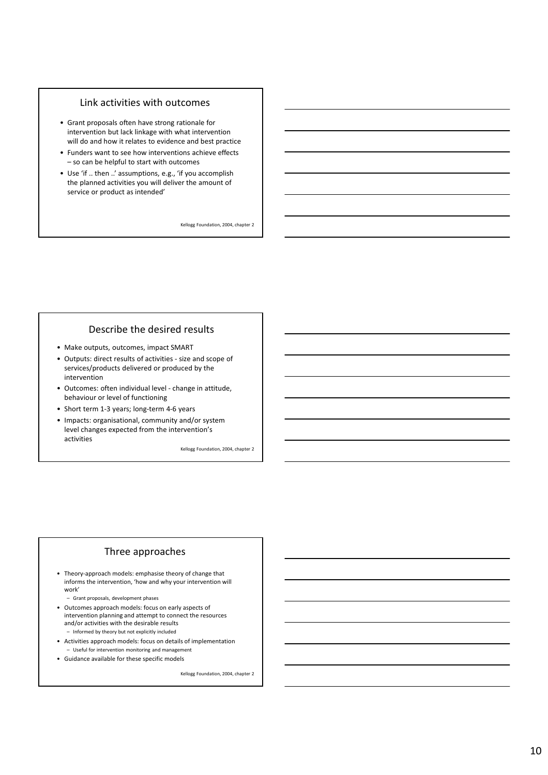#### Link activities with outcomes

- Grant proposals often have strong rationale for intervention but lack linkage with what intervention will do and how it relates to evidence and best practice
- Funders want to see how interventions achieve effects – so can be helpful to start with outcomes
- Use 'if .. then ..' assumptions, e.g., 'if you accomplish the planned activities you will deliver the amount of service or product as intended'

Kellogg Foundation, 2004, chapter 2

### Describe the desired results

- Make outputs, outcomes, impact SMART
- Outputs: direct results of activities size and scope of services/products delivered or produced by the intervention
- Outcomes: often individual level change in attitude, behaviour or level of functioning
- Short term 1-3 years; long-term 4-6 years
- Impacts: organisational, community and/or system level changes expected from the intervention's activities

Kellogg Foundation, 2004, chapter 2

### Three approaches

- Theory-approach models: emphasise theory of change that informs the intervention, 'how and why your intervention will work'
	- Grant proposals, development phases
- Outcomes approach models: focus on early aspects of intervention planning and attempt to connect the resources and/or activities with the desirable results – Informed by theory but not explicitly included
- Activities approach models: focus on details of implementation – Useful for intervention monitoring and management
- Guidance available for these specific models

Kellogg Foundation, 2004, chapter 2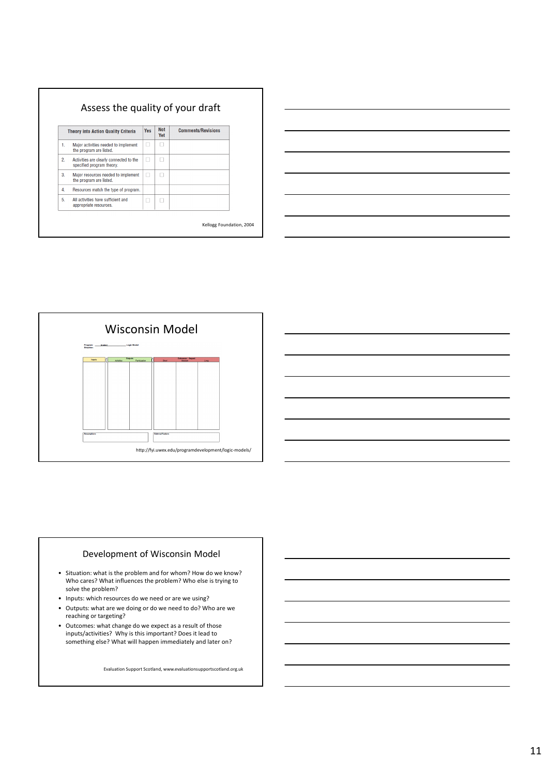| <b>Theory into Action Quality Criteria</b> |                                                                      | <b>Not</b><br><b>Yes</b><br>Yet |  | <b>Comments/Revisions</b> |
|--------------------------------------------|----------------------------------------------------------------------|---------------------------------|--|---------------------------|
| 1.                                         | Major activities needed to implement<br>the program are listed.      | г                               |  |                           |
| 2.                                         | Activities are clearly connected to the<br>specified program theory. | н                               |  |                           |
| 3.                                         | Major resources needed to implement<br>the program are listed.       | г                               |  |                           |
| 4.                                         | Resources match the type of program.                                 |                                 |  |                           |
| 5.                                         | All activities have sufficient and<br>appropriate resources.         | ı.                              |  |                           |

| <u> 1989 - Johann John Stone, markin sanadi amerikan bahasa dan berkembang di sebagai pertama dan berkembang di s</u>  |  |  |                                   |
|------------------------------------------------------------------------------------------------------------------------|--|--|-----------------------------------|
| the contract of the contract of the contract of the contract of the contract of the contract of                        |  |  | the control of the control of the |
| <u> 2000 - Jan Barat de Barat de la Barat de la Barat de la Barat de la Barat de la Barat de la Barat de la Bara</u>   |  |  |                                   |
|                                                                                                                        |  |  |                                   |
| and the contract of the contract of the contract of the contract of the contract of the contract of the contract of    |  |  |                                   |
| <u> 1989 - Johann Stoff, deutscher Stoffen und der Stoffen und der Stoffen und der Stoffen und der Stoffen und der</u> |  |  |                                   |
|                                                                                                                        |  |  |                                   |





#### Development of Wisconsin Model

- Situation: what is the problem and for whom? How do we know? Who cares? What influences the problem? Who else is trying to solve the problem?
- Inputs: which resources do we need or are we using?
- Outputs: what are we doing or do we need to do? Who are we reaching or targeting?
- Outcomes: what change do we expect as a result of those inputs/activities? Why is this important? Does it lead to something else? What will happen immediately and later on?

Evaluation Support Scotland, www.evaluationsupportscotland.org.uk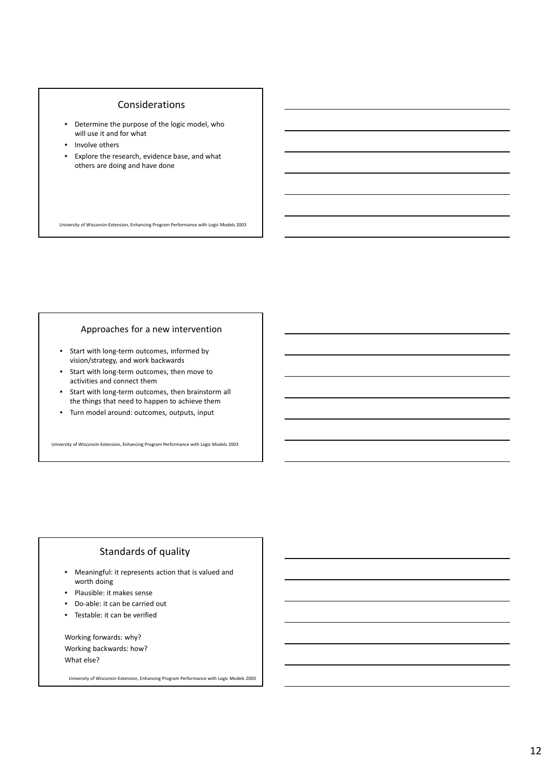#### Considerations

- Determine the purpose of the logic model, who will use it and for what
- Involve others
- Explore the research, evidence base, and what others are doing and have done

University of Wisconsin-Extension, Enhancing Program Performance with Logic Models 2003

#### Approaches for a new intervention

- Start with long-term outcomes, informed by vision/strategy, and work backwards
- Start with long-term outcomes, then move to activities and connect them
- Start with long-term outcomes, then brainstorm all the things that need to happen to achieve them
- Turn model around: outcomes, outputs, input

University of Wisconsin-Extension, Enhancing Program Performance with Logic Models 2003

## Standards of quality

- Meaningful: it represents action that is valued and worth doing
- Plausible: it makes sense
- Do-able: it can be carried out
- Testable: it can be verified

Working forwards: why? Working backwards: how? What else?

University of Wisconsin-Extension, Enhancing Program Performance with Logic Models 2003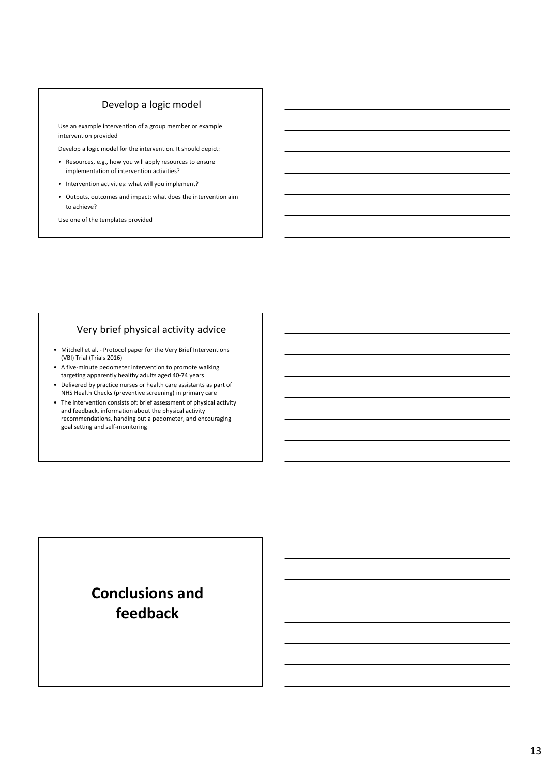## Develop a logic model

Use an example intervention of a group member or example intervention provided

Develop a logic model for the intervention. It should depict:

- Resources, e.g., how you will apply resources to ensure implementation of intervention activities?
- Intervention activities: what will you implement?
- Outputs, outcomes and impact: what does the intervention aim to achieve?

Use one of the templates provided

## Very brief physical activity advice

- Mitchell et al. Protocol paper for the Very Brief Interventions (VBI) Trial (Trials 2016)
- A five-minute pedometer intervention to promote walking targeting apparently healthy adults aged 40-74 years
- Delivered by practice nurses or health care assistants as part of NHS Health Checks (preventive screening) in primary care
- The intervention consists of: brief assessment of physical activity and feedback, information about the physical activity recommendations, handing out a pedometer, and encouraging goal setting and self-monitoring

# **Conclusions and feedback**